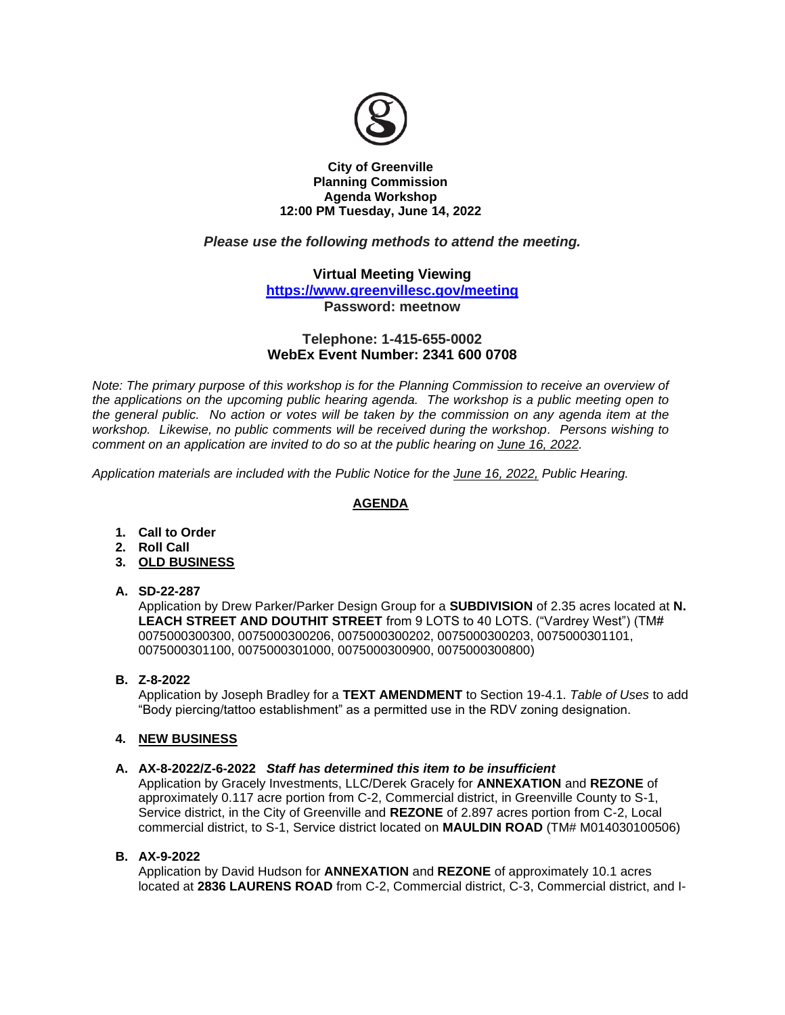

### **City of Greenville Planning Commission Agenda Workshop 12:00 PM Tuesday, June 14, 2022**

# *Please use the following methods to attend the meeting.*

## **Virtual Meeting Viewing**

**<https://www.greenvillesc.gov/meeting>**

**Password: meetnow**

### **Telephone: 1-415-655-0002 WebEx Event Number: 2341 600 0708**

*Note: The primary purpose of this workshop is for the Planning Commission to receive an overview of the applications on the upcoming public hearing agenda. The workshop is a public meeting open to the general public. No action or votes will be taken by the commission on any agenda item at the workshop. Likewise, no public comments will be received during the workshop. Persons wishing to comment on an application are invited to do so at the public hearing on June 16, 2022.*

*Application materials are included with the Public Notice for the June 16, 2022, Public Hearing.*

# **AGENDA**

- **1. Call to Order**
- **2. Roll Call**
- **3. OLD BUSINESS**
- **A. SD-22-287**

Application by Drew Parker/Parker Design Group for a **SUBDIVISION** of 2.35 acres located at **N. LEACH STREET AND DOUTHIT STREET** from 9 LOTS to 40 LOTS. ("Vardrey West") (TM# 0075000300300, 0075000300206, 0075000300202, 0075000300203, 0075000301101, 0075000301100, 0075000301000, 0075000300900, 0075000300800)

**B. Z-8-2022** 

Application by Joseph Bradley for a **TEXT AMENDMENT** to Section 19-4.1. *Table of Uses* to add "Body piercing/tattoo establishment" as a permitted use in the RDV zoning designation.

## **4. NEW BUSINESS**

### **A. AX-8-2022/Z-6-2022** *Staff has determined this item to be insufficient*

Application by Gracely Investments, LLC/Derek Gracely for **ANNEXATION** and **REZONE** of approximately 0.117 acre portion from C-2, Commercial district, in Greenville County to S-1, Service district, in the City of Greenville and **REZONE** of 2.897 acres portion from C-2, Local commercial district, to S-1, Service district located on **MAULDIN ROAD** (TM# M014030100506)

### **B. AX-9-2022**

Application by David Hudson for **ANNEXATION** and **REZONE** of approximately 10.1 acres located at **2836 LAURENS ROAD** from C-2, Commercial district, C-3, Commercial district, and I-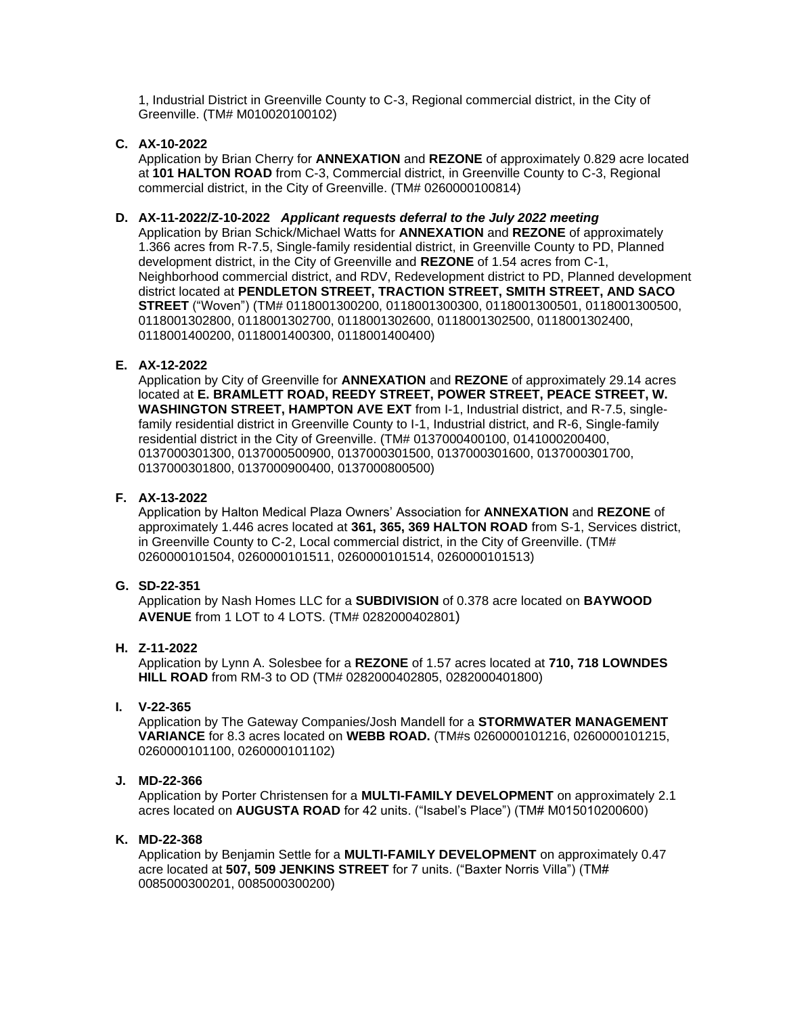1, Industrial District in Greenville County to C-3, Regional commercial district, in the City of Greenville. (TM# M010020100102)

**C. AX-10-2022**

Application by Brian Cherry for **ANNEXATION** and **REZONE** of approximately 0.829 acre located at **101 HALTON ROAD** from C-3, Commercial district, in Greenville County to C-3, Regional commercial district, in the City of Greenville. (TM# 0260000100814)

### **D. AX-11-2022/Z-10-2022** *Applicant requests deferral to the July 2022 meeting*

Application by Brian Schick/Michael Watts for **ANNEXATION** and **REZONE** of approximately 1.366 acres from R-7.5, Single-family residential district, in Greenville County to PD, Planned development district, in the City of Greenville and **REZONE** of 1.54 acres from C-1, Neighborhood commercial district, and RDV, Redevelopment district to PD, Planned development district located at **PENDLETON STREET, TRACTION STREET, SMITH STREET, AND SACO STREET** ("Woven") (TM# 0118001300200, 0118001300300, 0118001300501, 0118001300500, 0118001302800, 0118001302700, 0118001302600, 0118001302500, 0118001302400, 0118001400200, 0118001400300, 0118001400400)

### **E. AX-12-2022**

Application by City of Greenville for **ANNEXATION** and **REZONE** of approximately 29.14 acres located at **E. BRAMLETT ROAD, REEDY STREET, POWER STREET, PEACE STREET, W. WASHINGTON STREET, HAMPTON AVE EXT** from I-1, Industrial district, and R-7.5, singlefamily residential district in Greenville County to I-1, Industrial district, and R-6, Single-family residential district in the City of Greenville. (TM# 0137000400100, 0141000200400, 0137000301300, 0137000500900, 0137000301500, 0137000301600, 0137000301700, 0137000301800, 0137000900400, 0137000800500)

#### **F. AX-13-2022**

Application by Halton Medical Plaza Owners' Association for **ANNEXATION** and **REZONE** of approximately 1.446 acres located at **361, 365, 369 HALTON ROAD** from S-1, Services district, in Greenville County to C-2, Local commercial district, in the City of Greenville. (TM# 0260000101504, 0260000101511, 0260000101514, 0260000101513)

### **G. SD-22-351**

Application by Nash Homes LLC for a **SUBDIVISION** of 0.378 acre located on **BAYWOOD AVENUE** from 1 LOT to 4 LOTS. (TM# 0282000402801)

## **H. Z-11-2022**

Application by Lynn A. Solesbee for a **REZONE** of 1.57 acres located at **710, 718 LOWNDES HILL ROAD** from RM-3 to OD (TM# 0282000402805, 0282000401800)

## **I. V-22-365**

Application by The Gateway Companies/Josh Mandell for a **STORMWATER MANAGEMENT VARIANCE** for 8.3 acres located on **WEBB ROAD.** (TM#s 0260000101216, 0260000101215, 0260000101100, 0260000101102)

### **J. MD-22-366**

Application by Porter Christensen for a **MULTI-FAMILY DEVELOPMENT** on approximately 2.1 acres located on **AUGUSTA ROAD** for 42 units. ("Isabel's Place") (TM# M015010200600)

#### **K. MD-22-368**

Application by Benjamin Settle for a **MULTI-FAMILY DEVELOPMENT** on approximately 0.47 acre located at **507, 509 JENKINS STREET** for 7 units. ("Baxter Norris Villa") (TM# 0085000300201, 0085000300200)